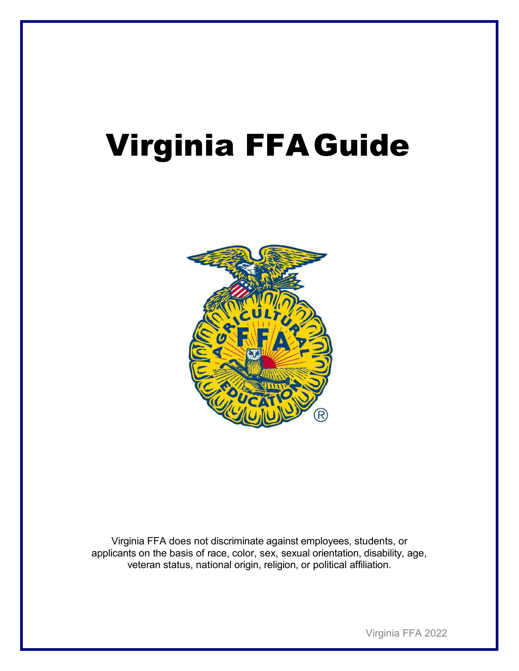# Virginia FFAGuide



Virginia FFA does not discriminate against employees, students, or applicants on the basis of race, color, sex, sexual orientation, disability, age, veteran status, national origin, religion, or political affiliation.

Virginia FFA 2022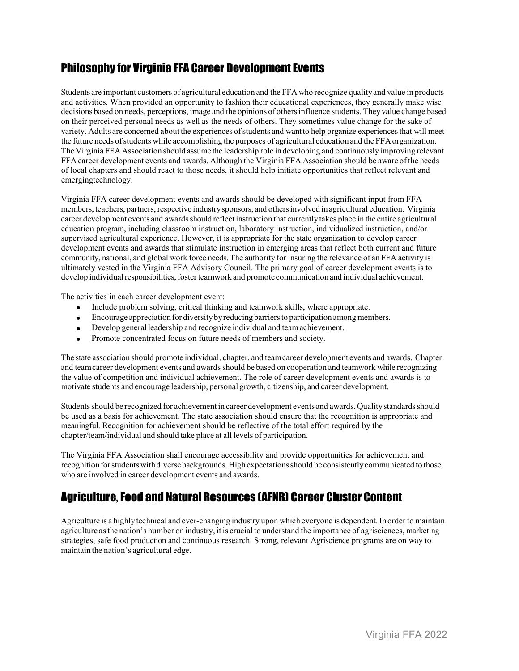## Philosophy for Virginia FFA Career Development Events

Students are important customers of agricultural education and the FFA who recognize qualityand value in products and activities. When provided an opportunity to fashion their educational experiences, they generally make wise decisions based on needs, perceptions, image and the opinions of othersinfluence students. They value change based on their perceived personal needs as well as the needs of others. They sometimes value change for the sake of variety. Adults are concerned about the experiences ofstudents and wantto help organize experiencesthat will meet the future needs ofstudents while accomplishing the purposes of agricultural education and the FFAorganization. The Virginia FFA Association should assume the leadership role in developing and continuouslyimproving relevant FFA career development events and awards. Although the Virginia FFA Association should be aware ofthe needs of local chapters and should react to those needs, it should help initiate opportunities that reflect relevant and emergingtechnology.

Virginia FFA career development events and awards should be developed with significant input from FFA members, teachers, partners, respective industry sponsors, and others involved in agricultural education. Virginia career development events and awardsshould reflect instruction that currently takes place in the entire agricultural education program, including classroom instruction, laboratory instruction, individualized instruction, and/or supervised agricultural experience. However, it is appropriate for the state organization to develop career development events and awards that stimulate instruction in emerging areas that reflect both current and future community, national, and global work force needs.The authority for insuring the relevance of an FFA activity is ultimately vested in the Virginia FFA Advisory Council. The primary goal of career development events is to develop individual responsibilities, foster teamwork and promote communication and individual achievement.

The activities in each career development event:

- Include problem solving, critical thinking and teamwork skills, where appropriate.  $\bullet$
- Encourage appreciation for diversitybyreducing barriersto participation among members.
- Develop general leadership and recognize individual and teamachievement.
- Promote concentrated focus on future needs of members and society.

The state association should promote individual, chapter, and teamcareer development events and awards. Chapter and team career development events and awards should be based on cooperation and teamwork while recognizing the value of competition and individual achievement. The role of career development events and awards is to motivate students and encourage leadership, personal growth, citizenship, and career development.

Studentsshould be recognized for achievement in career development events and awards. Quality standardsshould be used as a basis for achievement. The state association should ensure that the recognition is appropriate and meaningful. Recognition for achievement should be reflective of the total effort required by the chapter/team/individual and should take place at all levels of participation.

The Virginia FFA Association shall encourage accessibility and provide opportunities for achievement and recognition for students with diverse backgrounds. High expectations should be consistently communicated to those who are involved in career development events and awards.

## Agriculture, Food and Natural Resources (AFNR) Career Cluster Content

Agriculture is a highly technical and ever-changing industry upon which everyone is dependent. In order to maintain agriculture asthe nation's number on industry, it is crucial to understand the importance of agrisciences, marketing strategies, safe food production and continuous research. Strong, relevant Agriscience programs are on way to maintain the nation's agricultural edge.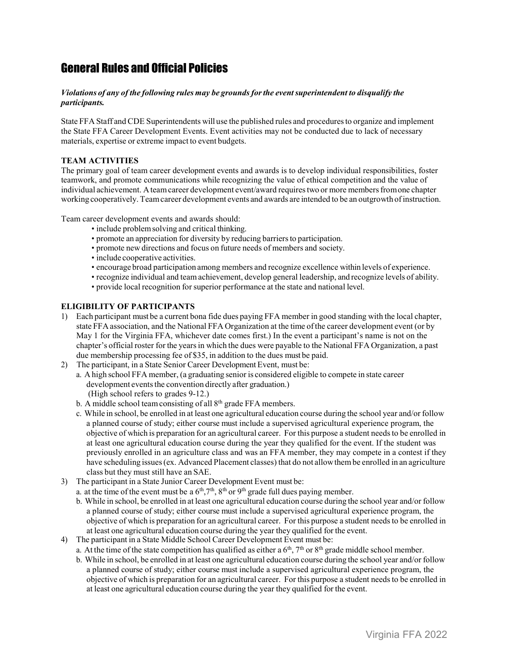## General Rules and Official Policies

#### *Violations of any of the following rules may be groundsforthe eventsuperintendent to disqualify the participants.*

State FFA Staff and CDE Superintendents will use the published rules and proceduresto organize and implement the State FFA Career Development Events. Event activities may not be conducted due to lack of necessary materials, expertise or extreme impact to event budgets.

#### **TEAM ACTIVITIES**

The primary goal of team career development events and awards is to develop individual responsibilities, foster teamwork, and promote communications while recognizing the value of ethical competition and the value of individual achievement. A team career development event/award requires two or more members from one chapter working cooperatively. Teamcareer development events and awards are intended to be an outgrowth ofinstruction.

Team career development events and awards should:

- include problemsolving and critical thinking.
- promote an appreciation for diversity by reducing barriers to participation.
- promote new directions and focus on future needs of members and society.
- include cooperative activities.
- encourage broad participation among members and recognize excellence within levels of experience.
- recognize individual and teamachievement, develop general leadership, and recognize levels of ability.
- provide local recognition for superior performance at the state and national level.

#### **ELIGIBILITY OF PARTICIPANTS**

- 1) Each participant must be a current bona fide dues paying FFA member in good standing with the local chapter, state FFA association, and the National FFA Organization at the time ofthe career development event (or by May 1 for the Virginia FFA, whichever date comes first.) In the event a participant's name is not on the chapter's official roster for the yearsin which the dues were payable to the National FFA Organization, a past due membership processing fee of \$35, in addition to the dues must be paid.
- 2) The participant, in a State Senior Career Development Event, must be:
	- a. A high school FFA member, (a graduating senior is considered eligible to compete in state career development events the convention directly after graduation.) (High school refers to grades 9-12.)
		- b. A middle school team consisting of all  $8<sup>th</sup>$  grade FFA members.
		- c. While in school, be enrolled in at least one agricultural education course during the school year and/or follow a planned course of study; either course must include a supervised agricultural experience program, the objective of which is preparation for an agricultural career. For this purpose a student needs to be enrolled in at least one agricultural education course during the year they qualified for the event. If the student was previously enrolled in an agriculture class and was an FFA member, they may compete in a contest if they have scheduling issues (ex. Advanced Placement classes) that do not allow them be enrolled in an agriculture class but they must still have an SAE.
- 3) The participant in a State Junior Career Development Event must be:
	- a. at the time of the event must be a  $6<sup>th</sup>$ ,  $7<sup>th</sup>$ ,  $8<sup>th</sup>$  or  $9<sup>th</sup>$  grade full dues paying member.
	- b. While in school, be enrolled in at least one agricultural education course during the school year and/or follow a planned course of study; either course must include a supervised agricultural experience program, the objective of which is preparation for an agricultural career. For this purpose a student needsto be enrolled in at least one agricultural education course during the year they qualified for the event.
- 4) The participant in a State Middle School Career Development Event must be:
	- a. At the time of the state competition has qualified as either a  $6<sup>th</sup>$ ,  $7<sup>th</sup>$  or  $8<sup>th</sup>$  grade middle school member.
	- b. While in school, be enrolled in at least one agricultural education course during the school year and/or follow a planned course of study; either course must include a supervised agricultural experience program, the objective of which is preparation for an agricultural career. For this purpose a student needsto be enrolled in at least one agricultural education course during the year they qualified for the event.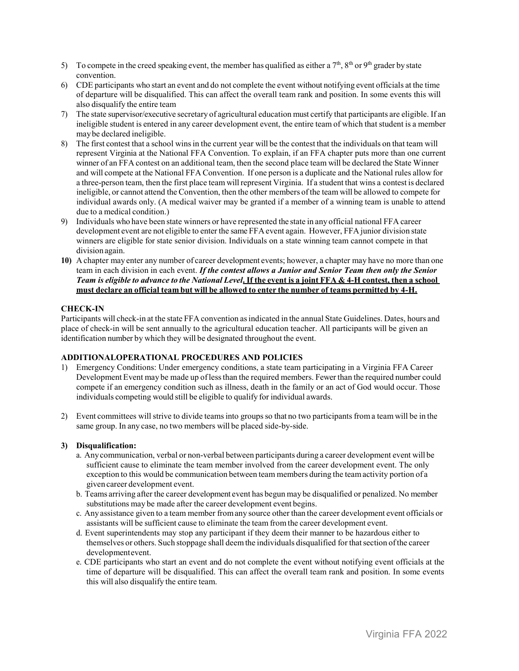- 5) To compete in the creed speaking event, the member has qualified as either a  $7<sup>th</sup>$ ,  $8<sup>th</sup>$  or  $9<sup>th</sup>$  grader by state convention.
- 6) CDE participants who start an event and do not complete the event without notifying event officials at the time of departure will be disqualified. This can affect the overall team rank and position. In some events this will also disqualify the entire team
- 7) The state supervisor/executive secretary of agricultural education must certify that participants are eligible. If an ineligible student is entered in any career development event, the entire team of which that student is a member maybe declared ineligible.
- 8) The first contest that a school winsin the current year will be the contest that the individuals on that team will represent Virginia at the National FFA Convention. To explain, if an FFA chapter puts more than one current winner of an FFA contest on an additional team, then the second place team will be declared the State Winner and will compete at the National FFA Convention. If one person is a duplicate and the National rules allow for a three-person team, then the first place team willrepresent Virginia. If a student that wins a contest is declared ineligible, or cannot attend the Convention, then the other members ofthe team will be allowed to compete for individual awards only. (A medical waiver may be granted if a member of a winning team is unable to attend due to a medical condition.)
- 9) Individuals who have been state winners or have represented the state in any official national FFA career development event are not eligible to enter the same FFA event again. However, FFA junior division state winners are eligible for state senior division. Individuals on a state winning team cannot compete in that divisionagain.
- **10)** A chapter may enter any number of career development events; however, a chapter may have no more than one team in each division in each event. *If the contest allows a Junior and Senior Team then only the Senior*  Team is eligible to advance to the National Level. If the event is a joint FFA & 4-H contest, then a school **must declare an official team but will be allowed to enter the number of teams permitted by 4-H.**

#### **CHECK-IN**

Participants will check-in at the state FFA convention asindicated in the annual State Guidelines. Dates, hours and place of check-in will be sent annually to the agricultural education teacher. All participants will be given an identification number by which they will be designated throughout the event.

#### **ADDITIONALOPERATIONAL PROCEDURES AND POLICIES**

- 1) Emergency Conditions: Under emergency conditions, a state team participating in a Virginia FFA Career Development Event may be made up oflessthan the required members. Fewer than the required number could compete if an emergency condition such as illness, death in the family or an act of God would occur. Those individuals competing would still be eligible to qualify for individual awards.
- 2) Event committees willstrive to divide teamsinto groupsso that no two participants froma team will be in the same group. In any case, no two members will be placed side-by-side.

#### **3) Disqualification:**

- a. Anycommunication, verbal or non-verbal between participants during a career development event will be sufficient cause to eliminate the team member involved from the career development event. The only exception to this would be communication between team members during the teamactivity portion of a given career development event.
- b. Teams arriving after the career development event has begun may be disqualified or penalized. No member substitutions may be made after the career development event begins.
- c. Any assistance given to a team member fromany source other than the career development event officials or assistants will be sufficient cause to eliminate the team fromthe career development event.
- d. Event superintendents may stop any participant if they deem their manner to be hazardous either to themselves or others. Such stoppage shall deemthe individuals disqualified for thatsection ofthe career developmentevent.
- e. CDE participants who start an event and do not complete the event without notifying event officials at the time of departure will be disqualified. This can affect the overall team rank and position. In some events this will also disqualify the entire team.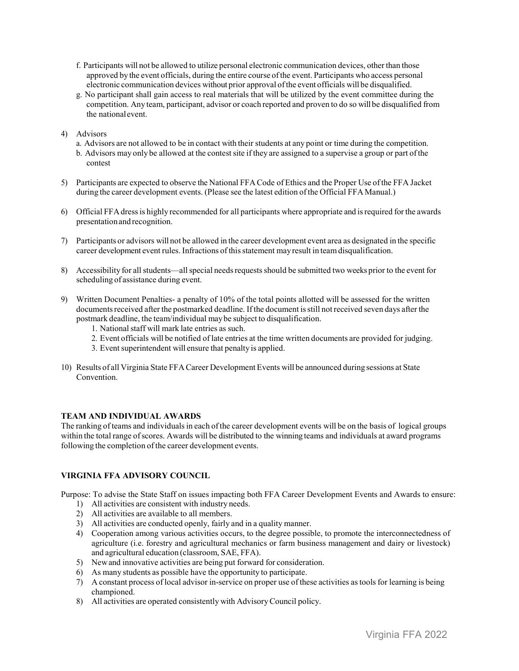- f. Participants will not be allowed to utilize personal electronic communication devices, other than those approved by the event officials, during the entire course ofthe event. Participants who access personal electronic communication devices without prior approval ofthe event officials will be disqualified.
- g. No participant shall gain access to real materials that will be utilized by the event committee during the competition. Any team, participant, advisor or coach reported and proven to do so will be disqualified from the nationalevent.
- 4) Advisors
	- a. Advisors are not allowed to be in contact with their students at any point or time during the competition.
	- b. Advisors may only be allowed at the contestsite if they are assigned to a supervise a group or part ofthe contest
- 5) Participants are expected to observe the National FFA Code of Ethics and the Proper Use ofthe FFA Jacket during the career development events. (Please see the latest edition ofthe Official FFAManual.)
- 6) Official FFAdressis highly recommended for all participants where appropriate and isrequired forthe awards presentationand recognition.
- 7) Participants or advisors will not be allowed in the career development event area as designated in the specific career development event rules. Infractions ofthisstatement mayresult in teamdisqualification.
- 8) Accessibility for all students—all special needs requests should be submitted two weeks prior to the event for scheduling of assistance during event.
- 9) Written Document Penalties- a penalty of 10% of the total points allotted will be assessed for the written documents received after the postmarked deadline. If the document is still not received seven days after the postmark deadline, the team/individual maybe subject to disqualification.
	- 1. National staff will mark late entries as such.
	- 2. Event officials will be notified of late entries at the time written documents are provided for judging.
	- 3. Event superintendent will ensure that penalty is applied.
- 10) Results of all Virginia State FFA Career Development Events will be announced during sessions at State Convention.

#### **TEAM AND INDIVIDUAL AWARDS**

The ranking of teams and individuals in each of the career development events will be on the basis of logical groups within the total range ofscores. Awards will be distributed to the winning teams and individuals at award programs following the completion of the career development events.

#### **VIRGINIA FFA ADVISORY COUNCIL**

Purpose: To advise the State Staff on issues impacting both FFA Career Development Events and Awards to ensure:

- 1) All activities are consistent with industry needs.
- 2) All activities are available to all members.
- 3) All activities are conducted openly, fairly and in a quality manner.
- 4) Cooperation among various activities occurs, to the degree possible, to promote the interconnectedness of agriculture (i.e. forestry and agricultural mechanics or farm business management and dairy or livestock) and agricultural education (classroom, SAE, FFA).
- 5) Newand innovative activities are being put forward for consideration.
- 6) As many students as possible have the opportunity to participate.
- 7) A constant process of local advisor in-service on proper use of these activities astoolsfor learning is being championed.
- 8) All activities are operated consistently with AdvisoryCouncil policy.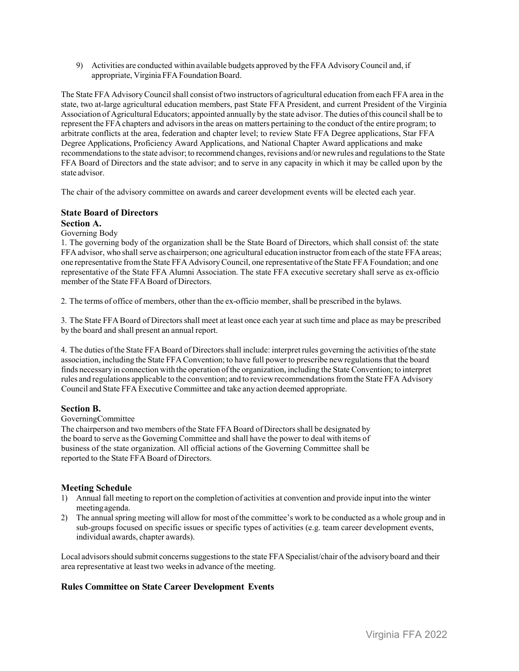9) Activities are conducted within available budgets approved by the FFA AdvisoryCouncil and, if appropriate, Virginia FFA Foundation Board.

The State FFA AdvisoryCouncilshall consist oftwo instructors of agricultural education fromeach FFA area in the state, two at-large agricultural education members, past State FFA President, and current President of the Virginia Association of Agricultural Educators; appointed annually by the state advisor. The duties ofthis councilshall be to represent the FFA chapters and advisors in the areas on matters pertaining to the conduct of the entire program; to arbitrate conflicts at the area, federation and chapter level; to review State FFA Degree applications, Star FFA Degree Applications, Proficiency Award Applications, and National Chapter Award applications and make recommendationsto the state advisor; to recommend changes, revisions and/or newrules and regulationsto the State FFA Board of Directors and the state advisor; and to serve in any capacity in which it may be called upon by the state advisor.

The chair of the advisory committee on awards and career development events will be elected each year.

#### **State Board of Directors**

#### **Section A.**

#### Governing Body

1. The governing body of the organization shall be the State Board of Directors, which shall consist of: the state FFA advisor, who shall serve as chairperson; one agricultural education instructor from each of the state FFA areas; one representative fromthe State FFA AdvisoryCouncil, one representative ofthe State FFA Foundation; and one representative of the State FFA Alumni Association. The state FFA executive secretary shall serve as ex-officio member of the State FFA Board of Directors.

2. The terms of office of members, other than the ex-officio member, shall be prescribed in the bylaws.

3. The State FFA Board of Directorsshall meet at least once each year at such time and place as may be prescribed by the board and shall present an annual report.

4. The duties ofthe State FFA Board of Directorsshall include: interpret rules governing the activities ofthe state association, including the State FFA Convention; to have full power to prescribe newregulationsthat the board finds necessary in connection with the operation ofthe organization, including the State Convention; to interpret rules and regulations applicable to the convention; and to reviewrecommendationsfromthe State FFA Advisory Council and State FFA Executive Committee and take any action deemed appropriate.

#### **Section B.**

#### GoverningCommittee

The chairperson and two members of the State FFA Board of Directors shall be designated by the board to serve asthe GoverningCommittee and shall have the power to deal with items of business of the state organization. All official actions of the Governing Committee shall be reported to the State FFA Board of Directors.

#### **Meeting Schedule**

- 1) Annual fall meeting to report on the completion of activities at convention and provide input into the winter meetingagenda.
- 2) The annual spring meeting will allow for most of the committee's work to be conducted as a whole group and in sub-groups focused on specific issues or specific types of activities (e.g. team career development events, individual awards, chapter awards).

Local advisors should submit concerns suggestions to the state FFA Specialist/chair of the advisory board and their area representative at least two weeksin advance of the meeting.

#### **Rules Committee on State Career Development Events**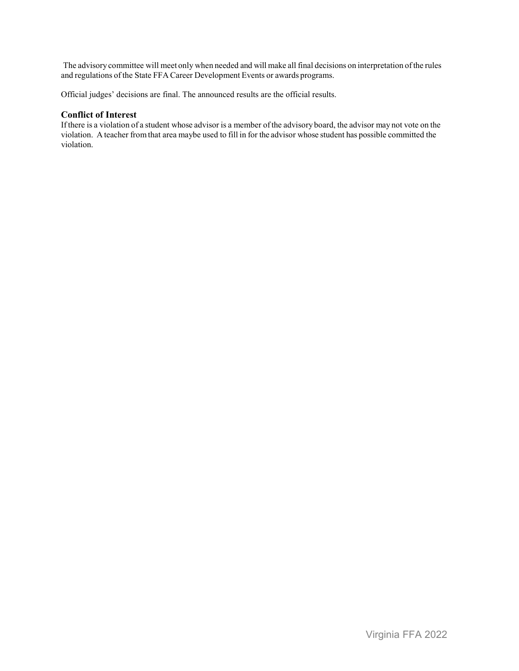The advisory committee will meet only when needed and will make all final decisions on interpretation ofthe rules and regulations ofthe State FFA Career Development Events or awards programs.

Official judges' decisions are final. The announced results are the official results.

#### **Conflict of Interest**

Ifthere is a violation of a student whose advisor is a member ofthe advisory board, the advisor may not vote on the violation. A teacher fromthat area maybe used to fill in for the advisor whose student has possible committed the violation.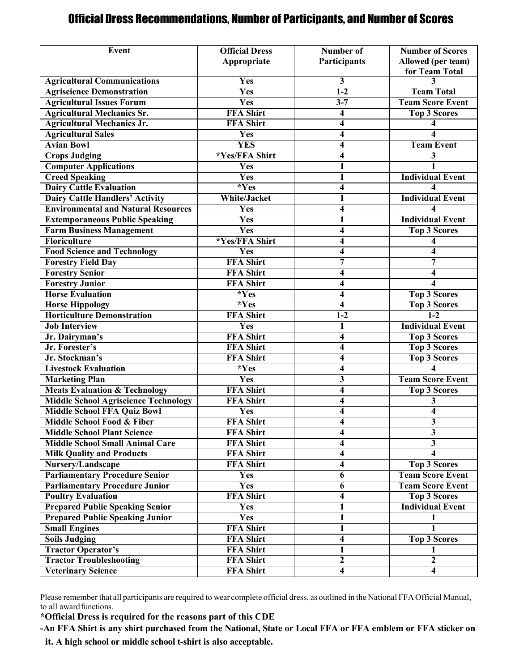## Official Dress Recommendations, Number of Participants, and Number of Scores

| Event                                       | <b>Official Dress</b> | Number of               | <b>Number of Scores</b> |  |
|---------------------------------------------|-----------------------|-------------------------|-------------------------|--|
|                                             | Appropriate           | Participants            | Allowed (per team)      |  |
|                                             |                       |                         | for Team Total          |  |
| <b>Agricultural Communications</b>          | Yes                   | 3                       | 3                       |  |
| <b>Agriscience Demonstration</b>            | <b>Yes</b>            | $1-2$                   | <b>Team Total</b>       |  |
| <b>Agricultural Issues Forum</b>            | Yes                   | $3 - 7$                 | <b>Team Score Event</b> |  |
| <b>Agricultural Mechanics Sr.</b>           | <b>FFA Shirt</b>      | 4                       | <b>Top 3 Scores</b>     |  |
| <b>Agricultural Mechanics Jr.</b>           | <b>FFA Shirt</b>      | 4                       |                         |  |
| <b>Agricultural Sales</b>                   | Yes                   | $\overline{\mathbf{4}}$ | 4                       |  |
| <b>Avian Bowl</b>                           | <b>YES</b>            | $\overline{\mathbf{4}}$ | <b>Team Event</b>       |  |
| <b>Crops Judging</b>                        | *Yes/FFA Shirt        | $\overline{\mathbf{4}}$ | 3                       |  |
| <b>Computer Applications</b>                | Yes                   | $\mathbf{1}$            |                         |  |
| <b>Creed Speaking</b>                       | <b>Yes</b>            | $\mathbf{1}$            | <b>Individual Event</b> |  |
| <b>Dairy Cattle Evaluation</b>              | $*Yes$                | 4                       |                         |  |
| <b>Dairy Cattle Handlers' Activity</b>      | <b>White/Jacket</b>   | 1                       | <b>Individual Event</b> |  |
| <b>Environmental and Natural Resources</b>  | Yes                   | $\overline{\mathbf{4}}$ | 4                       |  |
| <b>Extemporaneous Public Speaking</b>       | Yes                   | $\mathbf{1}$            | <b>Individual Event</b> |  |
| <b>Farm Business Management</b>             | Yes                   | 4                       | <b>Top 3 Scores</b>     |  |
| Floriculture                                | *Yes/FFA Shirt        | $\overline{\mathbf{4}}$ | 4                       |  |
| <b>Food Science and Technology</b>          | Yes                   | $\overline{\mathbf{4}}$ | 4                       |  |
| <b>Forestry Field Day</b>                   | <b>FFA Shirt</b>      | 7                       | 7                       |  |
| <b>Forestry Senior</b>                      | <b>FFA Shirt</b>      | $\overline{\mathbf{4}}$ | 4                       |  |
| <b>Forestry Junior</b>                      | <b>FFA Shirt</b>      | 4                       | 4                       |  |
| <b>Horse Evaluation</b>                     | $*Yes$                | 4                       | <b>Top 3 Scores</b>     |  |
| <b>Horse Hippology</b>                      | $*Yes$                | 4                       | <b>Top 3 Scores</b>     |  |
| <b>Horticulture Demonstration</b>           | <b>FFA Shirt</b>      | $1-2$                   | $1-2$                   |  |
| <b>Job Interview</b>                        | Yes                   | 1                       | <b>Individual Event</b> |  |
| Jr. Dairyman's                              | <b>FFA Shirt</b>      | 4                       | <b>Top 3 Scores</b>     |  |
| Jr. Forester's                              | <b>FFA Shirt</b>      | 4                       | <b>Top 3 Scores</b>     |  |
| Jr. Stockman's                              | <b>FFA Shirt</b>      | $\overline{\mathbf{4}}$ | <b>Top 3 Scores</b>     |  |
| <b>Livestock Evaluation</b>                 | *Yes                  | 4                       |                         |  |
| <b>Marketing Plan</b>                       | <b>Yes</b>            | $\overline{\mathbf{3}}$ | <b>Team Score Event</b> |  |
| <b>Meats Evaluation &amp; Technology</b>    | <b>FFA Shirt</b>      | $\overline{\mathbf{4}}$ | <b>Top 3 Scores</b>     |  |
| <b>Middle School Agriscience Technology</b> | <b>FFA Shirt</b>      | 4                       | 3                       |  |
| <b>Middle School FFA Quiz Bowl</b>          | Yes                   | 4                       | 4                       |  |
| Middle School Food & Fiber                  | <b>FFA Shirt</b>      | 4                       | $\overline{\mathbf{3}}$ |  |
| <b>Middle School Plant Science</b>          | <b>FFA Shirt</b>      | 4                       | 3                       |  |
| <b>Middle School Small Animal Care</b>      | <b>FFA Shirt</b>      | 4                       | $\overline{3}$          |  |
| <b>Milk Quality and Products</b>            | <b>FFA Shirt</b>      | 4                       | 4                       |  |
| Nursery/Landscape                           | <b>FFA Shirt</b>      | $\overline{\mathbf{4}}$ | <b>Top 3 Scores</b>     |  |
| <b>Parliamentary Procedure Senior</b>       | Yes                   | 6                       | <b>Team Score Event</b> |  |
| <b>Parliamentary Procedure Junior</b>       | <b>Yes</b>            | 6                       | <b>Team Score Event</b> |  |
| <b>Poultry Evaluation</b>                   | <b>FFA Shirt</b>      | $\overline{\mathbf{4}}$ | <b>Top 3 Scores</b>     |  |
| <b>Prepared Public Speaking Senior</b>      | Yes                   | $\mathbf{1}$            | <b>Individual Event</b> |  |
| <b>Prepared Public Speaking Junior</b>      | Yes                   | 1                       | 1                       |  |
| <b>Small Engines</b>                        | <b>FFA Shirt</b>      | $\mathbf{1}$            | 1                       |  |
| <b>Soils Judging</b>                        | <b>FFA Shirt</b>      | 4                       | <b>Top 3 Scores</b>     |  |
| <b>Tractor Operator's</b>                   | <b>FFA Shirt</b>      | $\mathbf{1}$            | 1                       |  |
| <b>Tractor Troubleshooting</b>              | <b>FFA Shirt</b>      | $\overline{2}$          | $\overline{2}$          |  |
| <b>Veterinary Science</b>                   | <b>FFA Shirt</b>      | 4                       | 4                       |  |

Please remember that all participants are required to wear complete official dress, as outlined in the National FFAOfficial Manual, to all award functions.

**\*Official Dress is required for the reasons part of this CDE**

**-An FFA Shirt is any shirt purchased from the National, State or Local FFA or FFA emblem or FFA sticker on** 

**it. A high school or middle school t-shirt is also acceptable.**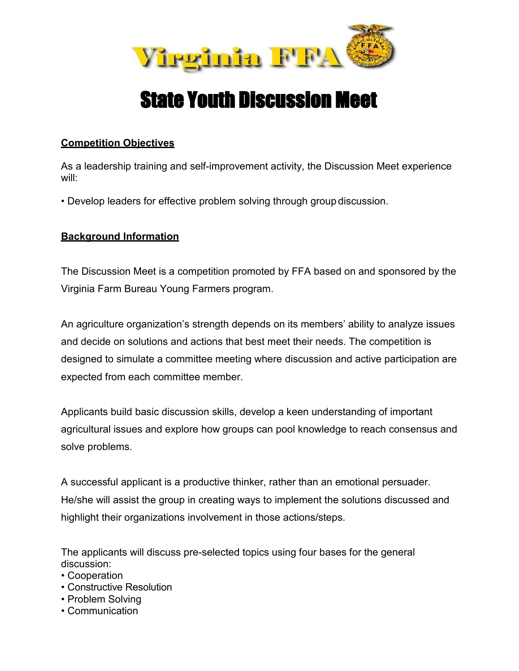

## State Youth Discussion Meet

### **Competition Objectives**

As a leadership training and self-improvement activity, the Discussion Meet experience will:

• Develop leaders for effective problem solving through group discussion.

## **Background Information**

The Discussion Meet is a competition promoted by FFA based on and sponsored by the Virginia Farm Bureau Young Farmers program.

An agriculture organization's strength depends on its members' ability to analyze issues and decide on solutions and actions that best meet their needs. The competition is designed to simulate a committee meeting where discussion and active participation are expected from each committee member.

Applicants build basic discussion skills, develop a keen understanding of important agricultural issues and explore how groups can pool knowledge to reach consensus and solve problems.

A successful applicant is a productive thinker, rather than an emotional persuader. He/she will assist the group in creating ways to implement the solutions discussed and highlight their organizations involvement in those actions/steps.

The applicants will discuss pre-selected topics using four bases for the general discussion:

- Cooperation
- Constructive Resolution
- Problem Solving
- Communication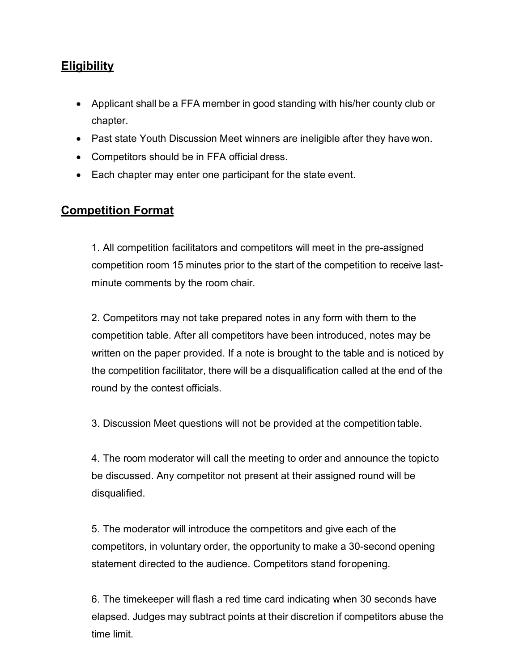## **Eligibility**

- Applicant shall be a FFA member in good standing with his/her county club or chapter.
- Past state Youth Discussion Meet winners are ineligible after they have won.
- Competitors should be in FFA official dress.
- Each chapter may enter one participant for the state event.

## **Competition Format**

1. All competition facilitators and competitors will meet in the pre-assigned competition room 15 minutes prior to the start of the competition to receive lastminute comments by the room chair.

2. Competitors may not take prepared notes in any form with them to the competition table. After all competitors have been introduced, notes may be written on the paper provided. If a note is brought to the table and is noticed by the competition facilitator, there will be a disqualification called at the end of the round by the contest officials.

3. Discussion Meet questions will not be provided at the competition table.

4. The room moderator will call the meeting to order and announce the topicto be discussed. Any competitor not present at their assigned round will be disqualified.

5. The moderator will introduce the competitors and give each of the competitors, in voluntary order, the opportunity to make a 30-second opening statement directed to the audience. Competitors stand foropening.

6. The timekeeper will flash a red time card indicating when 30 seconds have elapsed. Judges may subtract points at their discretion if competitors abuse the time limit.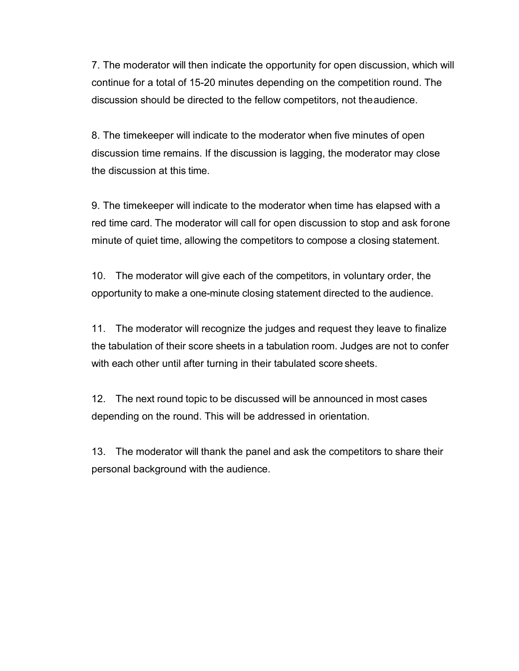7. The moderator will then indicate the opportunity for open discussion, which will continue for a total of 15-20 minutes depending on the competition round. The discussion should be directed to the fellow competitors, not theaudience.

8. The timekeeper will indicate to the moderator when five minutes of open discussion time remains. If the discussion is lagging, the moderator may close the discussion at this time.

9. The timekeeper will indicate to the moderator when time has elapsed with a red time card. The moderator will call for open discussion to stop and ask forone minute of quiet time, allowing the competitors to compose a closing statement.

10. The moderator will give each of the competitors, in voluntary order, the opportunity to make a one-minute closing statement directed to the audience.

11. The moderator will recognize the judges and request they leave to finalize the tabulation of their score sheets in a tabulation room. Judges are not to confer with each other until after turning in their tabulated score sheets.

12. The next round topic to be discussed will be announced in most cases depending on the round. This will be addressed in orientation.

13. The moderator will thank the panel and ask the competitors to share their personal background with the audience.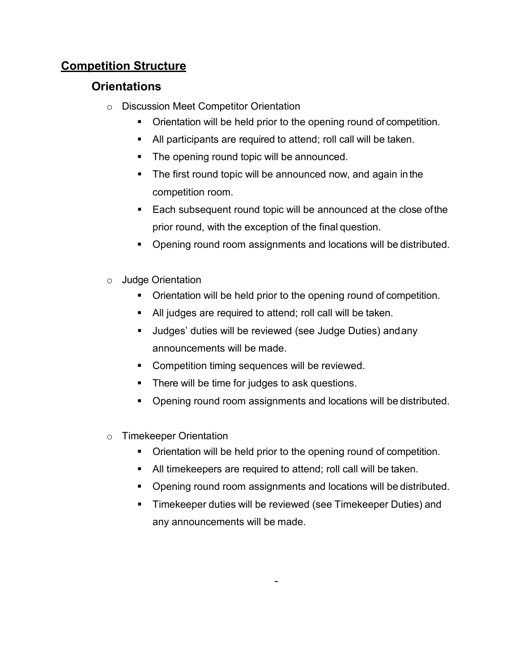## **Competition Structure**

## **Orientations**

- o Discussion Meet Competitor Orientation
	- Orientation will be held prior to the opening round of competition.
	- All participants are required to attend; roll call will be taken.
	- The opening round topic will be announced.
	- The first round topic will be announced now, and again in the competition room.
	- **Each subsequent round topic will be announced at the close of the** prior round, with the exception of the final question.
	- Opening round room assignments and locations will be distributed.
- o Judge Orientation
	- **Direntation will be held prior to the opening round of competition.**
	- All judges are required to attend; roll call will be taken.
	- Judges' duties will be reviewed (see Judge Duties) andany announcements will be made.
	- **Competition timing sequences will be reviewed.**
	- **There will be time for judges to ask questions.**
	- **Opening round room assignments and locations will be distributed.**
- o Timekeeper Orientation
	- **Divident** Orientation will be held prior to the opening round of competition.
	- All timekeepers are required to attend; roll call will be taken.
	- **Opening round room assignments and locations will be distributed.**
	- Timekeeper duties will be reviewed (see Timekeeper Duties) and any announcements will be made.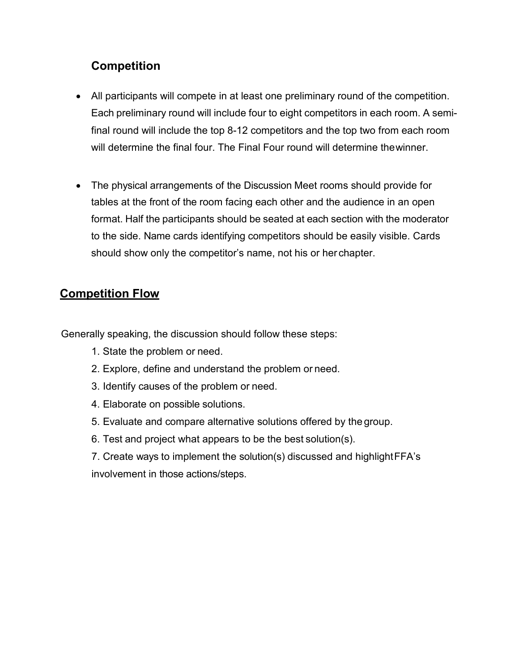## **Competition**

- All participants will compete in at least one preliminary round of the competition. Each preliminary round will include four to eight competitors in each room. A semifinal round will include the top 8-12 competitors and the top two from each room will determine the final four. The Final Four round will determine thewinner.
- The physical arrangements of the Discussion Meet rooms should provide for tables at the front of the room facing each other and the audience in an open format. Half the participants should be seated at each section with the moderator to the side. Name cards identifying competitors should be easily visible. Cards should show only the competitor's name, not his or her chapter.

## **Competition Flow**

Generally speaking, the discussion should follow these steps:

- 1. State the problem or need.
- 2. Explore, define and understand the problem or need.
- 3. Identify causes of the problem or need.
- 4. Elaborate on possible solutions.
- 5. Evaluate and compare alternative solutions offered by the group.
- 6. Test and project what appears to be the best solution(s).
- 7. Create ways to implement the solution(s) discussed and highlightFFA's involvement in those actions/steps.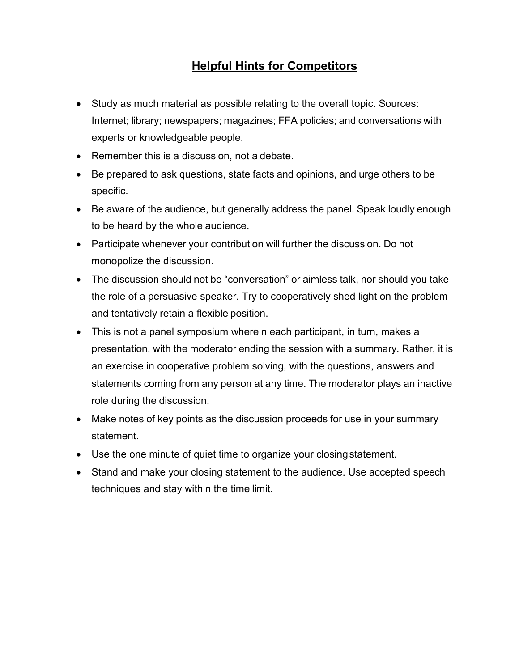## **Helpful Hints for Competitors**

- Study as much material as possible relating to the overall topic. Sources: Internet; library; newspapers; magazines; FFA policies; and conversations with experts or knowledgeable people.
- Remember this is a discussion, not a debate.
- Be prepared to ask questions, state facts and opinions, and urge others to be specific.
- Be aware of the audience, but generally address the panel. Speak loudly enough to be heard by the whole audience.
- Participate whenever your contribution will further the discussion. Do not monopolize the discussion.
- The discussion should not be "conversation" or aimless talk, nor should you take the role of a persuasive speaker. Try to cooperatively shed light on the problem and tentatively retain a flexible position.
- This is not a panel symposium wherein each participant, in turn, makes a presentation, with the moderator ending the session with a summary. Rather, it is an exercise in cooperative problem solving, with the questions, answers and statements coming from any person at any time. The moderator plays an inactive role during the discussion.
- Make notes of key points as the discussion proceeds for use in your summary statement.
- Use the one minute of quiet time to organize your closingstatement.
- Stand and make your closing statement to the audience. Use accepted speech techniques and stay within the time limit.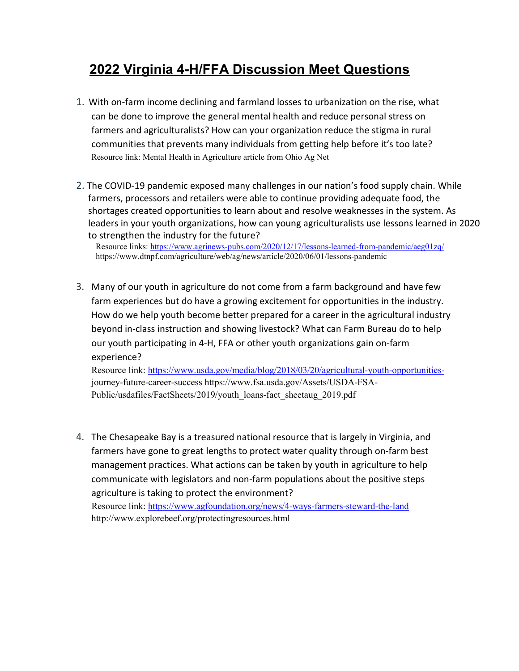## **2022 Virginia 4-H/FFA Discussion Meet Questions**

- 1. With on-farm income declining and farmland losses to urbanization on the rise, what can be done to improve the general mental health and reduce personal stress on farmers and agriculturalists? How can your organization reduce the stigma in rural communities that prevents many individuals from getting help before it's too late? Resource link: Mental Health in Agriculture article from Ohio Ag Net
- 2. The COVID-19 pandemic exposed many challenges in our nation's food supply chain. While farmers, processors and retailers were able to continue providing adequate food, the shortages created opportunities to learn about and resolve weaknesses in the system. As leaders in your youth organizations, how can young agriculturalists use lessons learned in 2020 to strengthen the industry for the future?

Resource links:<https://www.agrinews-pubs.com/2020/12/17/lessons-learned-from-pandemic/aeg01zq/> https://www.dtnpf.com/agriculture/web/ag/news/article/2020/06/01/lessons-pandemic

3. Many of our youth in agriculture do not come from a farm background and have few farm experiences but do have a growing excitement for opportunities in the industry. How do we help youth become better prepared for a career in the agricultural industry beyond in-class instruction and showing livestock? What can Farm Bureau do to help our youth participating in 4-H, FFA or other youth organizations gain on-farm experience?

Resource link: [https://www.usda.gov/media/blog/2018/03/20/agricultural-youth-opportunities](https://www.usda.gov/media/blog/2018/03/20/agricultural-youth-opportunities-)journey-future-career-success https://www.fsa.usda.gov/Assets/USDA-FSA-Public/usdafiles/FactSheets/2019/youth\_loans-fact\_sheetaug\_2019.pdf

4. The Chesapeake Bay is a treasured national resource that is largely in Virginia, and farmers have gone to great lengths to protect water quality through on-farm best management practices. What actions can be taken by youth in agriculture to help communicate with legislators and non-farm populations about the positive steps agriculture is taking to protect the environment? Resource link:<https://www.agfoundation.org/news/4-ways-farmers-steward-the-land> http://www.explorebeef.org/protectingresources.html